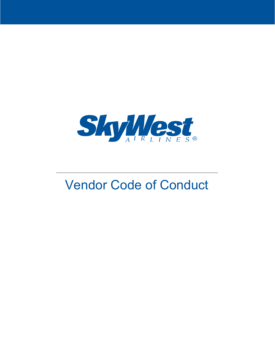

# Vendor Code of Conduct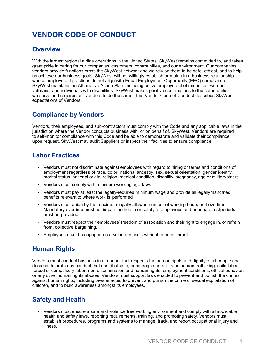## **VENDOR CODE OF CONDUCT**

#### **Overview**

With the largest regional airline operations in the United States, SkyWest remains committed to, and takes great pride in caring for our companies' customers, communities, and our environment. Our companies' vendors provide functions cross the SkyWest network and we rely on them to be safe, ethical, and to help us achieve our business goals. SkyWest will not willingly establish or maintain a business relationship whose employment practices do not align with Equal Employment Opportunity (EEO) compliance. SkyWest maintains an Affirmative Action Plan, including active employment of minorities, women, veterans, and individuals with disabilities. SkyWest makes positive contributions to the communities we serve and requires our vendors to do the same. This Vendor Code of Conduct describes SkyWest expectations of Vendors.

#### **Compliance by Vendors**

Vendors, their employees, and sub-contractors must comply with the Code and any applicable laws in the jurisdiction where the Vendor conducts business with, or on behalf of, SkyWest. Vendors are required to self-monitor compliance with this Code and be able to demonstrate and validate their compliance upon request. SkyWest may audit Suppliers or inspect their facilities to ensure compliance.

#### **Labor Practices**

- Vendors must not discriminate against employees with regard to hiring or terms and conditions of employment regardless of race, color, national ancestry, sex, sexual orientation, gender identity, marital status, national origin, religion, medical condition, disability, pregnancy, age or militarystatus.
- Vendors must comply with minimum working age laws
- Vendors must pay at least the legally-required minimum wage and provide all legallymandated benefits relevant to where work is performed
- Vendors must abide by the maximum legally allowed number of working hours and overtime. Mandatory overtime must not impair the health or safety of employees and adequate restperiods must be provided.
- Vendors must respect their employees' freedom of association and their right to engage in, or refrain from, collective bargaining.
- Employees must be engaged on a voluntary basis without force or threat.

## **Human Rights**

Vendors must conduct business in a manner that respects the human rights and dignity of all people and does not tolerate any conduct that contributes to, encourages or facilitates human trafficking, child labor, forced or compulsory labor, non-discrimination and human rights, employment conditions, ethical behavior, or any other human rights abuses. Vendors must support laws enacted to prevent and punish the crimes against human rights, including laws enacted to prevent and punish the crime of sexual exploitation of children, and to build awareness amongst its employees.

## **Safety and Health**

• Vendors must ensure a safe and violence free working environment and comply with allapplicable health and safety laws, reporting requirements, training, and promoting safety. Vendors must establish procedures, programs and systems to manage, track, and report occupational injury and illness.